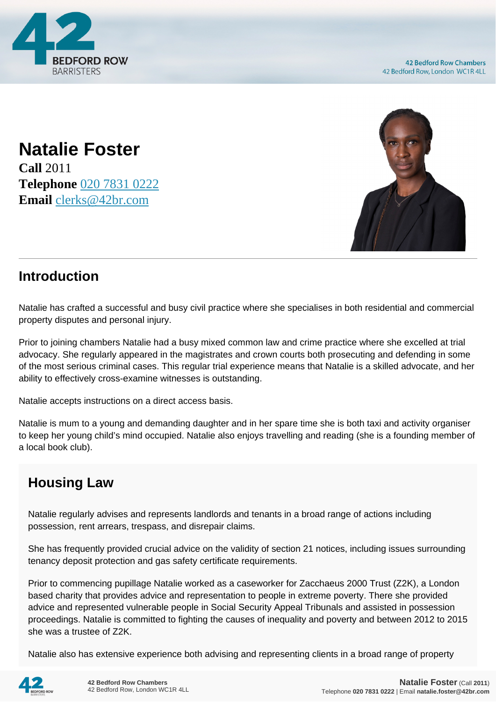

**Natalie Foster Call** 2011 **Telephone** [020 7831 0222](https://pdf.codeshore.co/_42br/tel:020 7831 0222) **Email** [clerks@42br.com](mailto:clerks@42br.com)



## **Introduction**

Natalie has crafted a successful and busy civil practice where she specialises in both residential and commercial property disputes and personal injury.

Prior to joining chambers Natalie had a busy mixed common law and crime practice where she excelled at trial advocacy. She regularly appeared in the magistrates and crown courts both prosecuting and defending in some of the most serious criminal cases. This regular trial experience means that Natalie is a skilled advocate, and her ability to effectively cross-examine witnesses is outstanding.

Natalie accepts instructions on a direct access basis.

Natalie is mum to a young and demanding daughter and in her spare time she is both taxi and activity organiser to keep her young child's mind occupied. Natalie also enjoys travelling and reading (she is a founding member of a local book club).

## **Housing Law**

Natalie regularly advises and represents landlords and tenants in a broad range of actions including possession, rent arrears, trespass, and disrepair claims.

She has frequently provided crucial advice on the validity of section 21 notices, including issues surrounding tenancy deposit protection and gas safety certificate requirements.

Prior to commencing pupillage Natalie worked as a caseworker for Zacchaeus 2000 Trust (Z2K), a London based charity that provides advice and representation to people in extreme poverty. There she provided advice and represented vulnerable people in Social Security Appeal Tribunals and assisted in possession proceedings. Natalie is committed to fighting the causes of inequality and poverty and between 2012 to 2015 she was a trustee of Z2K.

Natalie also has extensive experience both advising and representing clients in a broad range of property